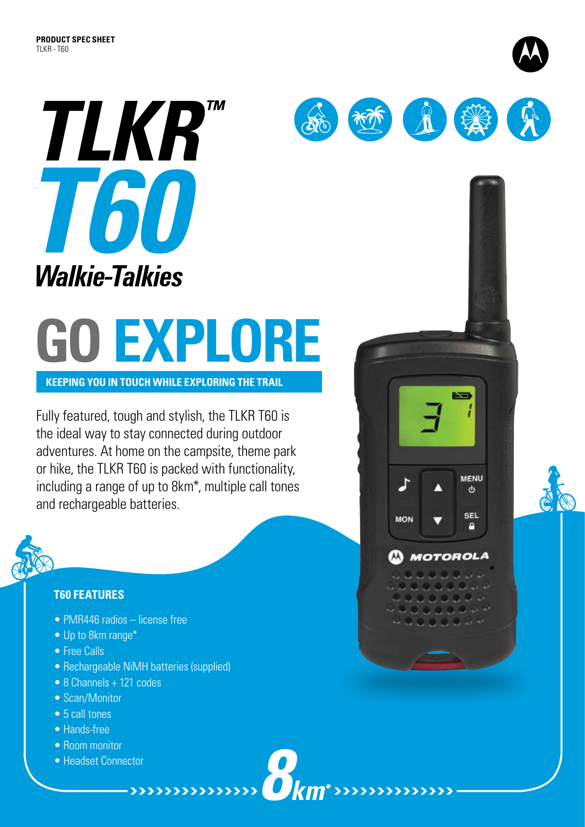

## **GO EXPLORE**

**Keeping you in touch while exploring the trail**

Fully featured, tough and stylish, the TLKR T60 is the ideal way to stay connected during outdoor adventures. At home on the campsite, theme park or hike, the TLKR T60 is packed with functionality, including a range of up to 8km\*, multiple call tones and rechargeable batteries.



## **T60 FEATURES**

- PMR446 radios license free
- Up to 8km range\*
- Free Calls
- Rechargeable NiMH batteries (supplied)

*8km\**

- 8 Channels + 121 codes
- Scan/Monitor
- 5 call tones
- Hands-free
- Room monitor
- Headset Connector





**MENU**  $\Phi$ 

**SEL** 

o

**MOTOROLA** 

**MON**